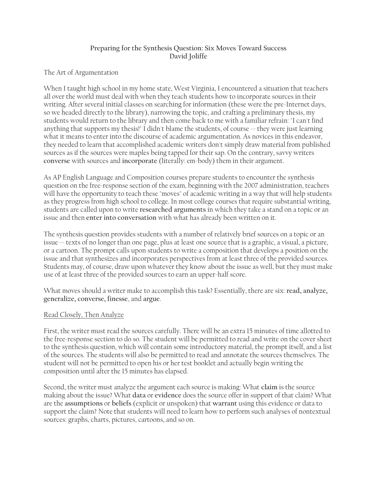# **Preparing for the Synthesis Question: Six Moves Toward Success David Joliffe**

# The Art of Argumentation

When I taught high school in my home state, West Virginia, I encountered a situation that teachers all over the world must deal with when they teach students how to incorporate sources in their writing. After several initial classes on searching for information (these were the pre-Internet days, so we headed directly to the library), narrowing the topic, and crafting a preliminary thesis, my students would return to the library and then come back to me with a familiar refrain: "I can't find anything that supports my thesis!" I didn't blame the students, of course -- they were just learning what it means to enter into the discourse of academic argumentation. As novices in this endeavor, they needed to learn that accomplished academic writers don't simply draw material from published sources as if the sources were maples being tapped for their sap. On the contrary, savvy writers **converse** with sources and **incorporate** (literally: em-body) them in their argument.

As AP English Language and Composition courses prepare students to encounter the synthesis question on the free-response section of the exam, beginning with the 2007 administration, teachers will have the opportunity to teach these "moves" of academic writing in a way that will help students as they progress from high school to college. In most college courses that require substantial writing, students are called upon to write **researched arguments** in which they take a stand on a topic or an issue and then **enter into conversation** with what has already been written on it.

The synthesis question provides students with a number of relatively brief sources on a topic or an issue  $\sim$  texts of no longer than one page, plus at least one source that is a graphic, a visual, a picture, or a cartoon. The prompt calls upon students to write a composition that develops a position on the issue and that synthesizes and incorporates perspectives from at least three of the provided sources. Students may, of course, draw upon whatever they know about the issue as well, but they must make use of at least three of the provided sources to earn an upper-half score.

What moves should a writer make to accomplish this task? Essentially, there are six: **read, analyze, generalize, converse, finesse**, and **argue**.

#### Read Closely, Then Analyze

First, the writer must read the sources carefully. There will be an extra 15 minutes of time allotted to the free-response section to do so. The student will be permitted to read and write on the cover sheet to the synthesis question, which will contain some introductory material, the prompt itself, and a list of the sources. The students will also be permitted to read and annotate the sources themselves. The student will not be permitted to open his or her test booklet and actually begin writing the composition until after the 15 minutes has elapsed.

Second, the writer must analyze the argument each source is making: What **claim** is the source making about the issue? What **data** or **evidence** does the source offer in support of that claim? What are the **assumptions** or **beliefs** (explicit or unspoken) that **warrant** using this evidence or data to support the claim? Note that students will need to learn how to perform such analyses of nontextual sources: graphs, charts, pictures, cartoons, and so on.